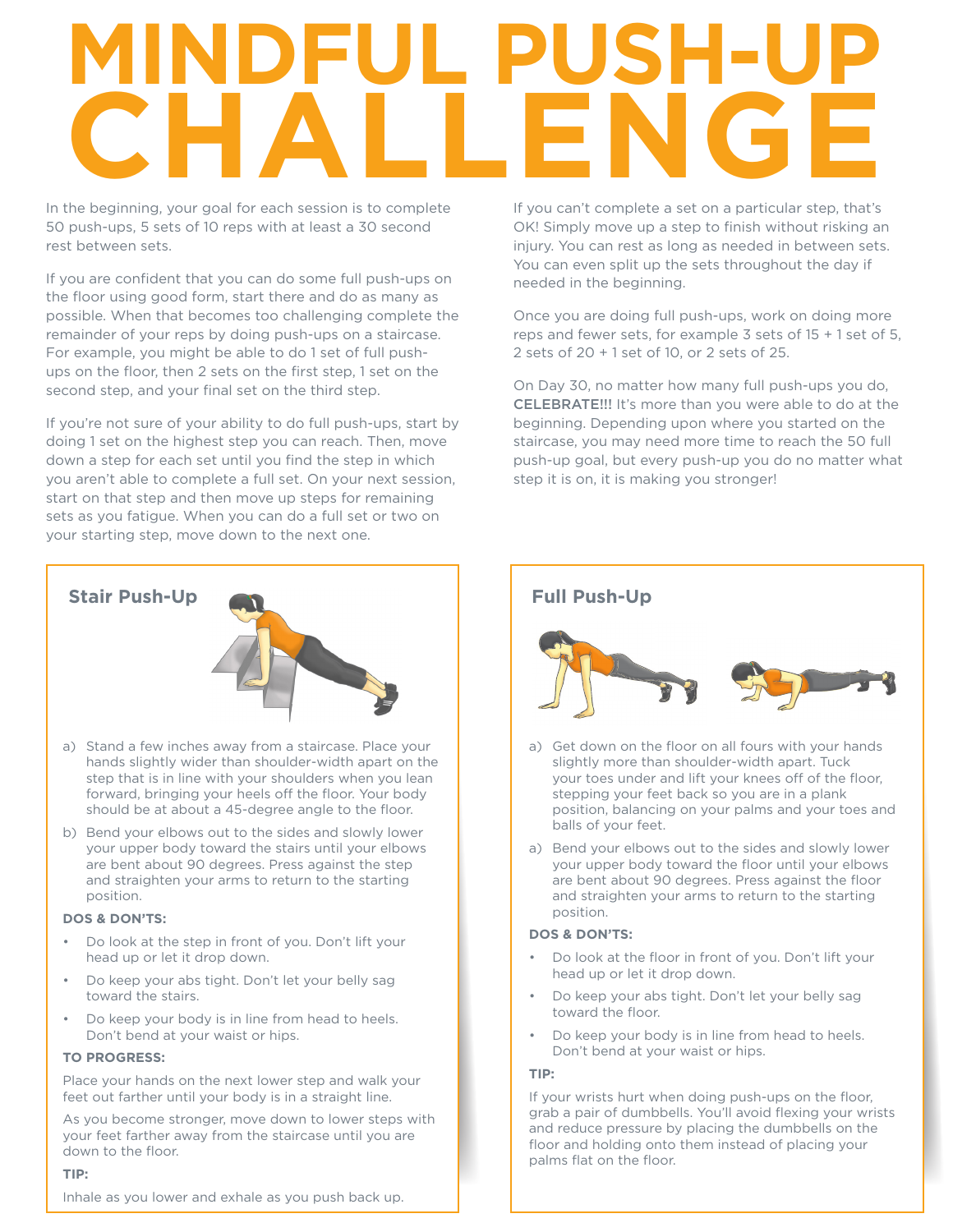## **MINDFUL PUSH-UP CHALLENGE**

In the beginning, your goal for each session is to complete 50 push-ups, 5 sets of 10 reps with at least a 30 second rest between sets.

If you are confident that you can do some full push-ups on the floor using good form, start there and do as many as possible. When that becomes too challenging complete the remainder of your reps by doing push-ups on a staircase. For example, you might be able to do 1 set of full pushups on the floor, then 2 sets on the first step, 1 set on the second step, and your final set on the third step.

If you're not sure of your ability to do full push-ups, start by doing 1 set on the highest step you can reach. Then, move down a step for each set until you find the step in which you aren't able to complete a full set. On your next session, start on that step and then move up steps for remaining sets as you fatigue. When you can do a full set or two on your starting step, move down to the next one.



- a) Stand a few inches away from a staircase. Place your hands slightly wider than shoulder-width apart on the step that is in line with your shoulders when you lean forward, bringing your heels off the floor. Your body should be at about a 45-degree angle to the floor.
- b) Bend your elbows out to the sides and slowly lower your upper body toward the stairs until your elbows are bent about 90 degrees. Press against the step and straighten your arms to return to the starting position.

#### **DOS & DON'TS:**

- Do look at the step in front of you. Don't lift your head up or let it drop down.
- Do keep your abs tight. Don't let your belly sag toward the stairs.
- Do keep your body is in line from head to heels. Don't bend at your waist or hips.

#### **TO PROGRESS:**

Place your hands on the next lower step and walk your feet out farther until your body is in a straight line.

As you become stronger, move down to lower steps with your feet farther away from the staircase until you are down to the floor.

#### **TIP:**

Inhale as you lower and exhale as you push back up.

If you can't complete a set on a particular step, that's OK! Simply move up a step to finish without risking an injury. You can rest as long as needed in between sets. You can even split up the sets throughout the day if needed in the beginning.

Once you are doing full push-ups, work on doing more reps and fewer sets, for example 3 sets of 15 + 1 set of 5, 2 sets of 20 + 1 set of 10, or 2 sets of 25.

On Day 30, no matter how many full push-ups you do, CELEBRATE!!! It's more than you were able to do at the beginning. Depending upon where you started on the staircase, you may need more time to reach the 50 full push-up goal, but every push-up you do no matter what step it is on, it is making you stronger!

- a) Get down on the floor on all fours with your hands slightly more than shoulder-width apart. Tuck your toes under and lift your knees off of the floor, stepping your feet back so you are in a plank position, balancing on your palms and your toes and balls of your feet.
- a) Bend your elbows out to the sides and slowly lower your upper body toward the floor until your elbows are bent about 90 degrees. Press against the floor and straighten your arms to return to the starting position.

#### **DOS & DON'TS:**

- Do look at the floor in front of you. Don't lift your head up or let it drop down.
- Do keep your abs tight. Don't let your belly sag toward the floor.
- Do keep your body is in line from head to heels. Don't bend at your waist or hips.

#### **TIP:**

If your wrists hurt when doing push-ups on the floor, grab a pair of dumbbells. You'll avoid flexing your wrists and reduce pressure by placing the dumbbells on the floor and holding onto them instead of placing your palms flat on the floor.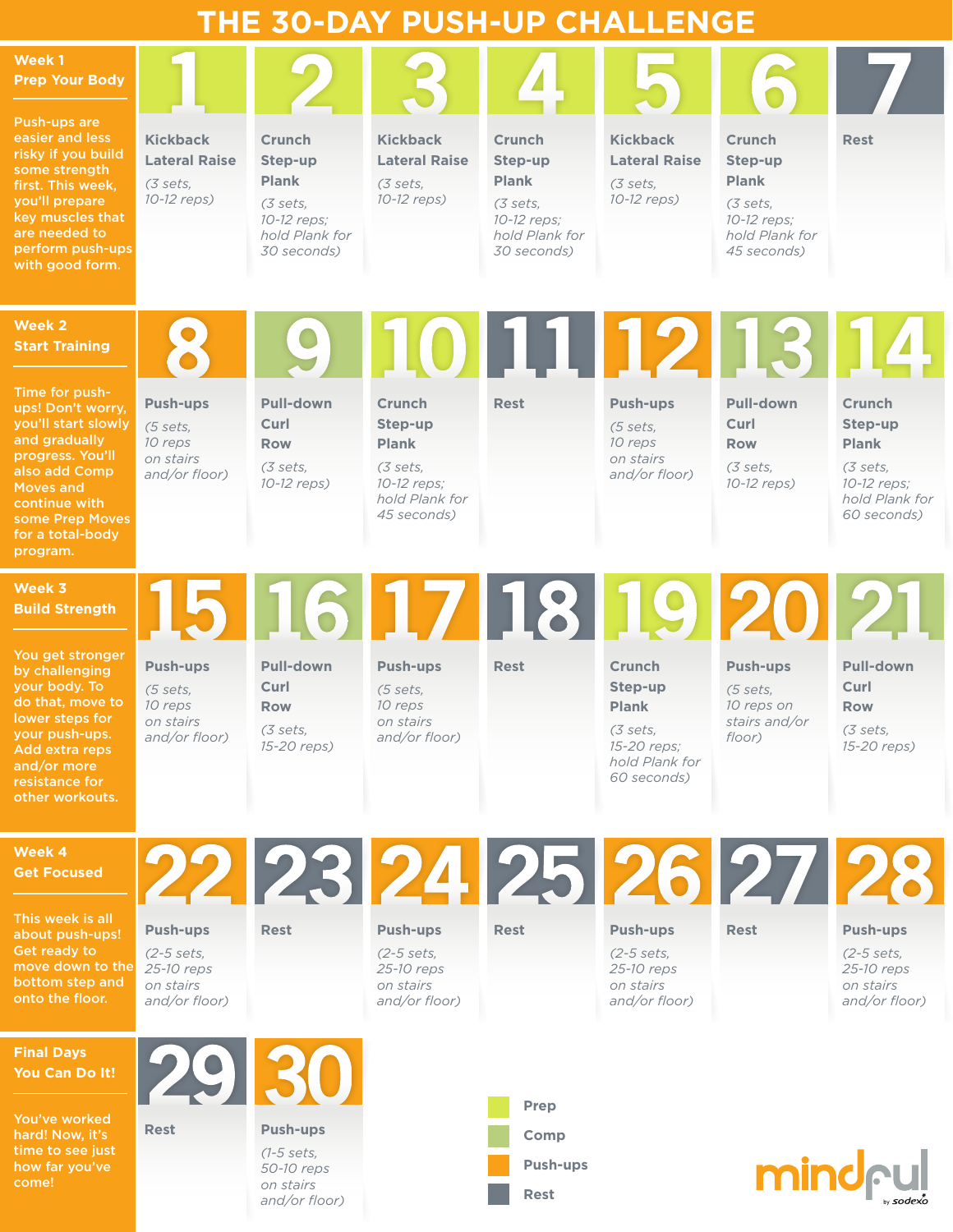| THE 30-DAY PUSH-UP CHALLENGE                                                                                                                                                                             |                                                                             |                                                                                                      |                                                                                                      |                                                                                                      |                                                                                                      |                                                                                                      |                                                                                                      |
|----------------------------------------------------------------------------------------------------------------------------------------------------------------------------------------------------------|-----------------------------------------------------------------------------|------------------------------------------------------------------------------------------------------|------------------------------------------------------------------------------------------------------|------------------------------------------------------------------------------------------------------|------------------------------------------------------------------------------------------------------|------------------------------------------------------------------------------------------------------|------------------------------------------------------------------------------------------------------|
| Week 1<br><b>Prep Your Body</b>                                                                                                                                                                          |                                                                             |                                                                                                      |                                                                                                      |                                                                                                      |                                                                                                      |                                                                                                      |                                                                                                      |
| Push-ups are<br>easier and less<br>risky if you build<br>some strength<br>first. This week,<br>you'll prepare<br>key muscles that<br>are needed to<br>perform push-ups<br>with good form.                | <b>Kickback</b><br><b>Lateral Raise</b><br>(3 sets,<br>10-12 reps)          | <b>Crunch</b><br>Step-up<br><b>Plank</b><br>(3 sets,<br>10-12 reps;<br>hold Plank for<br>30 seconds) | <b>Kickback</b><br><b>Lateral Raise</b><br>(3 sets,<br>10-12 reps)                                   | <b>Crunch</b><br>Step-up<br><b>Plank</b><br>(3 sets,<br>10-12 reps;<br>hold Plank for<br>30 seconds) | <b>Kickback</b><br><b>Lateral Raise</b><br>(3 sets,<br>10-12 reps)                                   | <b>Crunch</b><br>Step-up<br><b>Plank</b><br>(3 sets,<br>10-12 reps;<br>hold Plank for<br>45 seconds) | <b>Rest</b>                                                                                          |
| Week 2<br><b>Start Training</b>                                                                                                                                                                          | 8                                                                           | O)                                                                                                   |                                                                                                      | 10 11 12 13 14                                                                                       |                                                                                                      |                                                                                                      |                                                                                                      |
| Time for push-<br>ups! Don't worry,<br>you'll start slowly<br>and gradually<br>progress. You'll<br>also add Comp<br><b>Moves and</b><br>continue with<br>some Prep Moves<br>for a total-body<br>program. | <b>Push-ups</b><br>(5 sets,<br>10 reps<br>on stairs<br>and/or floor)        | <b>Pull-down</b><br>Curl<br><b>Row</b><br>(3 sets,<br>10-12 reps)                                    | <b>Crunch</b><br>Step-up<br><b>Plank</b><br>(3 sets,<br>10-12 reps;<br>hold Plank for<br>45 seconds) | <b>Rest</b>                                                                                          | <b>Push-ups</b><br>(5 sets,<br>10 reps<br>on stairs<br>and/or floor)                                 | <b>Pull-down</b><br>Curl<br><b>Row</b><br>(3 sets,<br>10-12 reps)                                    | <b>Crunch</b><br>Step-up<br><b>Plank</b><br>(3 sets,<br>10-12 reps;<br>hold Plank for<br>60 seconds) |
| Week 3<br><b>Build Strength</b>                                                                                                                                                                          |                                                                             | 15 16 17 18 19 20 21                                                                                 |                                                                                                      |                                                                                                      |                                                                                                      |                                                                                                      |                                                                                                      |
| You get stronger<br>by challenging<br>your body. To<br>do that, move to<br>lower steps for<br>your push-ups.<br>Add extra reps<br>and/or more<br>resistance for<br>other workouts.                       | <b>Push-ups</b><br>(5 sets,<br>10 reps<br>on stairs<br>and/or floor)        | <b>Pull-down</b><br>Curl<br><b>Row</b><br>(3 sets,<br>15-20 reps)                                    | <b>Push-ups</b><br>(5 sets,<br>10 reps<br>on stairs<br>and/or floor)                                 | <b>Rest</b>                                                                                          | <b>Crunch</b><br>Step-up<br><b>Plank</b><br>(3 sets,<br>15-20 reps;<br>hold Plank for<br>60 seconds) | <b>Push-ups</b><br>(5 sets,<br>10 reps on<br>stairs and/or<br>floor)                                 | <b>Pull-down</b><br>Curl<br><b>Row</b><br>(3 sets,<br>15-20 reps)                                    |
| Week 4<br><b>Get Focused</b>                                                                                                                                                                             |                                                                             | 22 23 24 25 26 27 28                                                                                 |                                                                                                      |                                                                                                      |                                                                                                      |                                                                                                      |                                                                                                      |
| This week is all<br>about push-ups!<br>Get ready to<br>move down to the<br>bottom step and<br>onto the floor.                                                                                            | <b>Push-ups</b><br>$(2-5 sets,$<br>25-10 reps<br>on stairs<br>and/or floor) | <b>Rest</b>                                                                                          | <b>Push-ups</b><br>$(2-5 \text{ sets.})$<br>25-10 reps<br>on stairs<br>and/or floor)                 | <b>Rest</b>                                                                                          | <b>Push-ups</b><br>$(2-5 \text{ sets.})$<br>25-10 reps<br>on stairs<br>and/or floor)                 | <b>Rest</b>                                                                                          | <b>Push-ups</b><br>$(2-5 \text{ sets.})$<br>25-10 reps<br>on stairs<br>and/or floor)                 |
| <b>Final Days</b><br>You Can Do It!                                                                                                                                                                      | 2930                                                                        |                                                                                                      |                                                                                                      |                                                                                                      |                                                                                                      |                                                                                                      |                                                                                                      |
| You've worked<br>hard! Now, it's<br>time to see just<br>how far you've<br>come!                                                                                                                          | <b>Rest</b>                                                                 | <b>Push-ups</b><br>$(1-5 \text{ sets},$<br>50-10 reps<br>on stairs<br>and/or floor)                  |                                                                                                      | <b>Prep</b><br><b>Comp</b><br><b>Push-ups</b><br><b>Rest</b>                                         |                                                                                                      |                                                                                                      | mind <sub>ful</sub>                                                                                  |